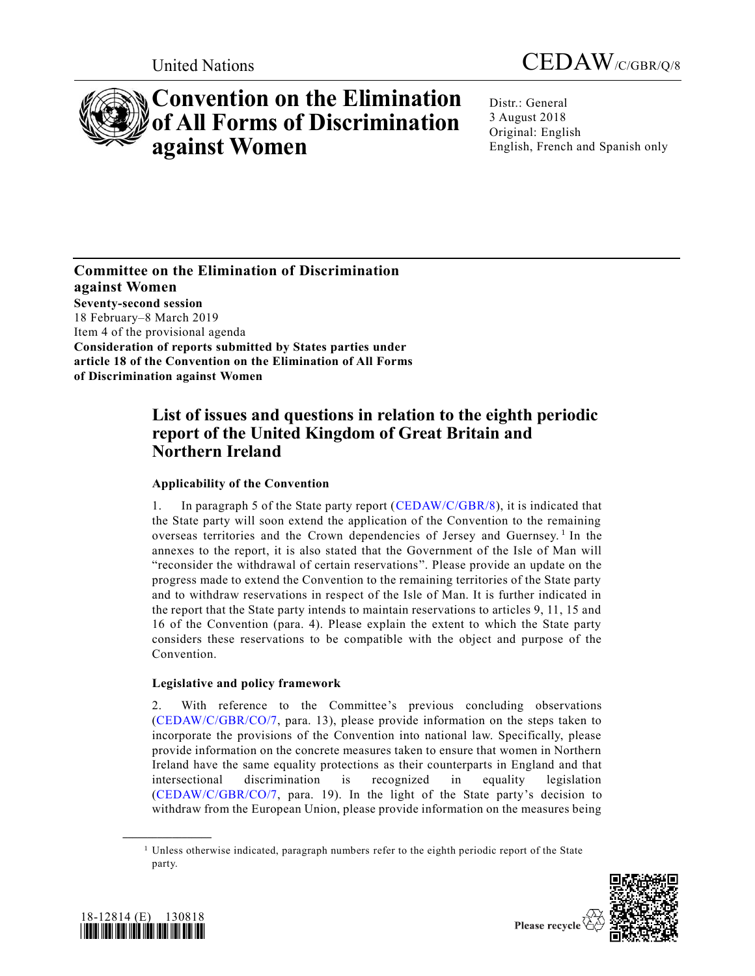



# **Convention on the Elimination of All Forms of Discrimination against Women**

Distr.: General 3 August 2018 Original: English English, French and Spanish only

**Committee on the Elimination of Discrimination against Women Seventy-second session** 18 February–8 March 2019 Item 4 of the provisional agenda **Consideration of reports submitted by States parties under article 18 of the Convention on the Elimination of All Forms of Discrimination against Women**

# **List of issues and questions in relation to the eighth periodic report of the United Kingdom of Great Britain and Northern Ireland**

# **Applicability of the Convention**

1. In paragraph 5 of the State party report [\(CEDAW/C/GBR/8\)](https://undocs.org/CEDAW/C/GBR/8), it is indicated that the State party will soon extend the application of the Convention to the remaining overseas territories and the Crown dependencies of Jersey and Guernsey.<sup>1</sup> In the annexes to the report, it is also stated that the Government of the Isle of Man will "reconsider the withdrawal of certain reservations". Please provide an update on the progress made to extend the Convention to the remaining territories of the State party and to withdraw reservations in respect of the Isle of Man. It is further indicated in the report that the State party intends to maintain reservations to articles 9, 11, 15 and 16 of the Convention (para. 4). Please explain the extent to which the State party considers these reservations to be compatible with the object and purpose of the Convention.

# **Legislative and policy framework**

2. With reference to the Committee's previous concluding observations [\(CEDAW/C/GBR/CO/7,](https://undocs.org/CEDAW/C/GBR/CO/7) para. 13), please provide information on the steps taken to incorporate the provisions of the Convention into national law. Specifically, please provide information on the concrete measures taken to ensure that women in Northern Ireland have the same equality protections as their counterparts in England and that intersectional discrimination is recognized in equality legislation [\(CEDAW/C/GBR/CO/7,](https://undocs.org/CEDAW/C/GBR/CO/7) para. 19). In the light of the State party's decision to withdraw from the European Union, please provide information on the measures being

<sup>&</sup>lt;sup>1</sup> Unless otherwise indicated, paragraph numbers refer to the eighth periodic report of the State party.





**\_\_\_\_\_\_\_\_\_\_\_\_\_\_\_\_\_\_**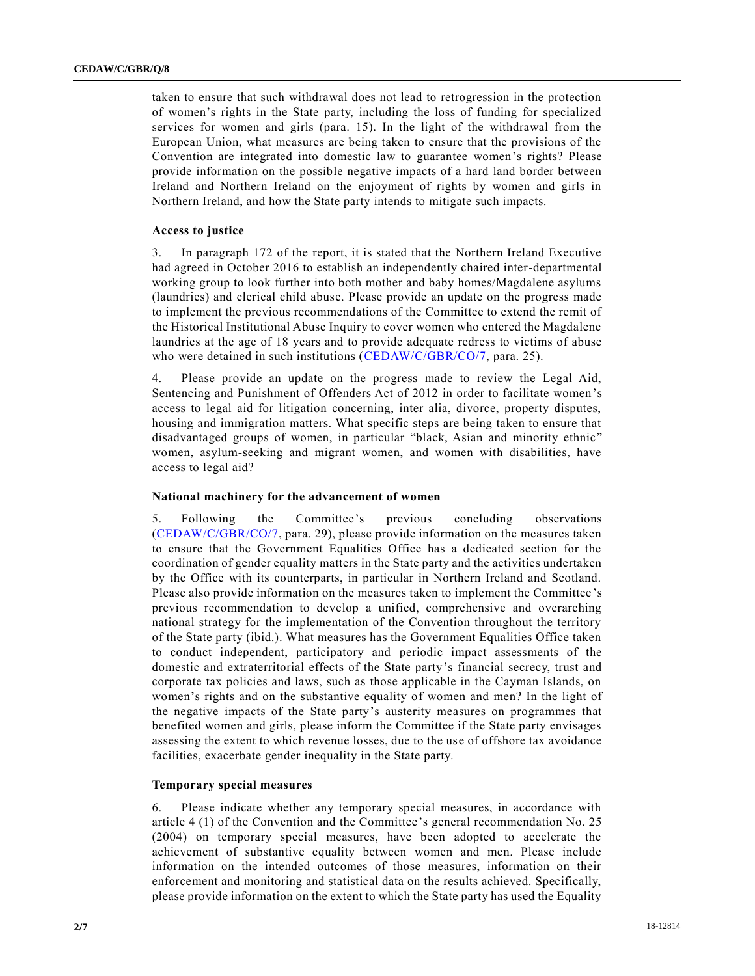taken to ensure that such withdrawal does not lead to retrogression in the protection of women's rights in the State party, including the loss of funding for specialized services for women and girls (para. 15). In the light of the withdrawal from the European Union, what measures are being taken to ensure that the provisions of the Convention are integrated into domestic law to guarantee women's rights? Please provide information on the possible negative impacts of a hard land border between Ireland and Northern Ireland on the enjoyment of rights by women and girls in Northern Ireland, and how the State party intends to mitigate such impacts.

# **Access to justice**

3. In paragraph 172 of the report, it is stated that the Northern Ireland Executive had agreed in October 2016 to establish an independently chaired inter-departmental working group to look further into both mother and baby homes/Magdalene asylums (laundries) and clerical child abuse. Please provide an update on the progress made to implement the previous recommendations of the Committee to extend the remit of the Historical Institutional Abuse Inquiry to cover women who entered the Magdalene laundries at the age of 18 years and to provide adequate redress to victims of abuse who were detained in such institutions [\(CEDAW/C/GBR/CO/7,](https://undocs.org/CEDAW/C/GBR/CO/7) para. 25).

4. Please provide an update on the progress made to review the Legal Aid, Sentencing and Punishment of Offenders Act of 2012 in order to facilitate women's access to legal aid for litigation concerning, inter alia, divorce, property disputes, housing and immigration matters. What specific steps are being taken to ensure that disadvantaged groups of women, in particular "black, Asian and minority ethnic" women, asylum-seeking and migrant women, and women with disabilities, have access to legal aid?

#### **National machinery for the advancement of women**

5. Following the Committee's previous concluding observations [\(CEDAW/C/GBR/CO/7,](https://undocs.org/CEDAW/C/GBR/CO/7) para. 29), please provide information on the measures taken to ensure that the Government Equalities Office has a dedicated section for the coordination of gender equality matters in the State party and the activities undertaken by the Office with its counterparts, in particular in Northern Ireland and Scotland. Please also provide information on the measures taken to implement the Committee 's previous recommendation to develop a unified, comprehensive and overarching national strategy for the implementation of the Convention throughout the territory of the State party (ibid.). What measures has the Government Equalities Office taken to conduct independent, participatory and periodic impact assessments of the domestic and extraterritorial effects of the State party's financial secrecy, trust and corporate tax policies and laws, such as those applicable in the Cayman Islands, on women's rights and on the substantive equality of women and men? In the light of the negative impacts of the State party's austerity measures on programmes that benefited women and girls, please inform the Committee if the State party envisages assessing the extent to which revenue losses, due to the use of offshore tax avoidance facilities, exacerbate gender inequality in the State party.

# **Temporary special measures**

6. Please indicate whether any temporary special measures, in accordance with article 4 (1) of the Convention and the Committee's general recommendation No. 25 (2004) on temporary special measures, have been adopted to accelerate the achievement of substantive equality between women and men. Please include information on the intended outcomes of those measures, information on their enforcement and monitoring and statistical data on the results achieved. Specifically, please provide information on the extent to which the State party has used the Equality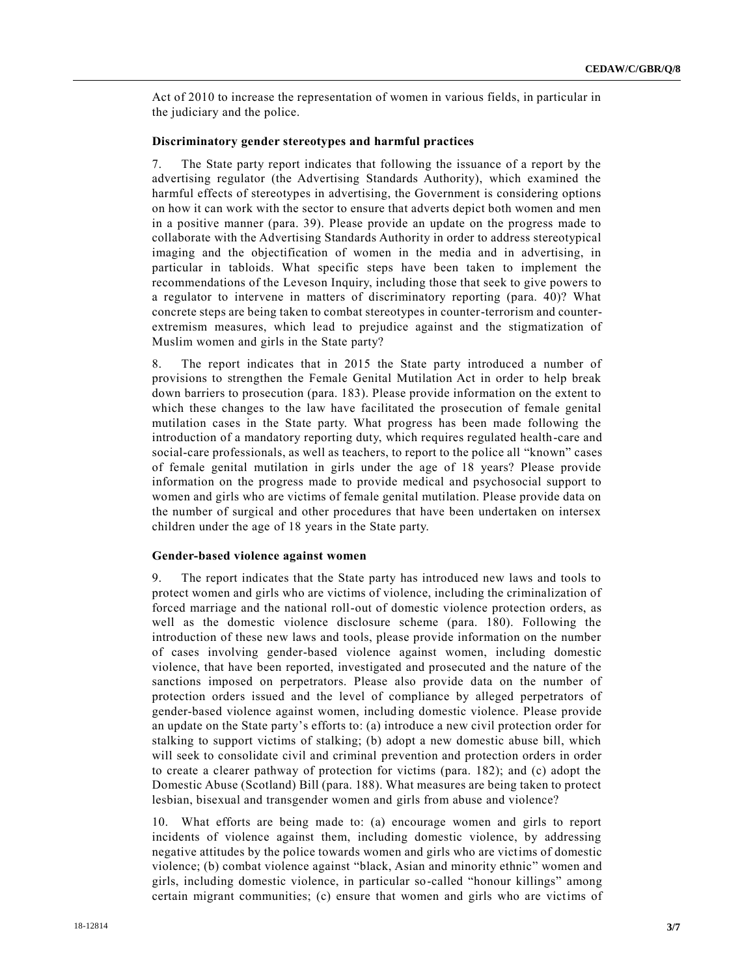Act of 2010 to increase the representation of women in various fields, in particular in the judiciary and the police.

# **Discriminatory gender stereotypes and harmful practices**

7. The State party report indicates that following the issuance of a report by the advertising regulator (the Advertising Standards Authority), which examined the harmful effects of stereotypes in advertising, the Government is considering options on how it can work with the sector to ensure that adverts depict both women and men in a positive manner (para. 39). Please provide an update on the progress made to collaborate with the Advertising Standards Authority in order to address stereotypical imaging and the objectification of women in the media and in advertising, in particular in tabloids. What specific steps have been taken to implement the recommendations of the Leveson Inquiry, including those that seek to give powers to a regulator to intervene in matters of discriminatory reporting (para. 40)? What concrete steps are being taken to combat stereotypes in counter-terrorism and counterextremism measures, which lead to prejudice against and the stigmatization of Muslim women and girls in the State party?

8. The report indicates that in 2015 the State party introduced a number of provisions to strengthen the Female Genital Mutilation Act in order to help break down barriers to prosecution (para. 183). Please provide information on the extent to which these changes to the law have facilitated the prosecution of female genital mutilation cases in the State party. What progress has been made following the introduction of a mandatory reporting duty, which requires regulated health-care and social-care professionals, as well as teachers, to report to the police all "known" cases of female genital mutilation in girls under the age of 18 years? Please provide information on the progress made to provide medical and psychosocial support to women and girls who are victims of female genital mutilation. Please provide data on the number of surgical and other procedures that have been undertaken on intersex children under the age of 18 years in the State party.

## **Gender-based violence against women**

9. The report indicates that the State party has introduced new laws and tools to protect women and girls who are victims of violence, including the criminalization of forced marriage and the national roll-out of domestic violence protection orders, as well as the domestic violence disclosure scheme (para. 180). Following the introduction of these new laws and tools, please provide information on the number of cases involving gender-based violence against women, including domestic violence, that have been reported, investigated and prosecuted and the nature of the sanctions imposed on perpetrators. Please also provide data on the number of protection orders issued and the level of compliance by alleged perpetrators of gender-based violence against women, including domestic violence. Please provide an update on the State party's efforts to: (a) introduce a new civil protection order for stalking to support victims of stalking; (b) adopt a new domestic abuse bill, which will seek to consolidate civil and criminal prevention and protection orders in order to create a clearer pathway of protection for victims (para. 182); and (c) adopt the Domestic Abuse (Scotland) Bill (para. 188). What measures are being taken to protect lesbian, bisexual and transgender women and girls from abuse and violence?

10. What efforts are being made to: (a) encourage women and girls to report incidents of violence against them, including domestic violence, by addressing negative attitudes by the police towards women and girls who are victims of domestic violence; (b) combat violence against "black, Asian and minority ethnic" women and girls, including domestic violence, in particular so-called "honour killings" among certain migrant communities; (c) ensure that women and girls who are victims of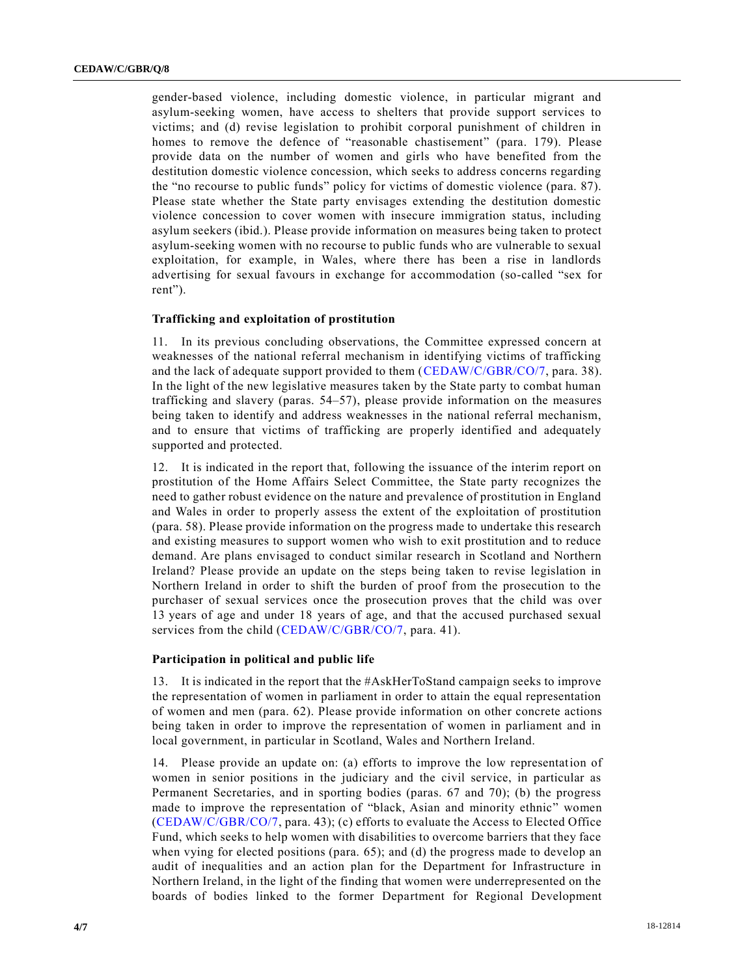gender-based violence, including domestic violence, in particular migrant and asylum-seeking women, have access to shelters that provide support services to victims; and (d) revise legislation to prohibit corporal punishment of children in homes to remove the defence of "reasonable chastisement" (para. 179). Please provide data on the number of women and girls who have benefited from the destitution domestic violence concession, which seeks to address concerns regarding the "no recourse to public funds" policy for victims of domestic violence (para. 87). Please state whether the State party envisages extending the destitution domestic violence concession to cover women with insecure immigration status, including asylum seekers (ibid.). Please provide information on measures being taken to protect asylum-seeking women with no recourse to public funds who are vulnerable to sexual exploitation, for example, in Wales, where there has been a rise in landlords advertising for sexual favours in exchange for accommodation (so-called "sex for rent").

# **Trafficking and exploitation of prostitution**

11. In its previous concluding observations, the Committee expressed concern at weaknesses of the national referral mechanism in identifying victims of trafficking and the lack of adequate support provided to them [\(CEDAW/C/GBR/CO/7,](https://undocs.org/CEDAW/C/GBR/CO/7) para. 38). In the light of the new legislative measures taken by the State party to combat human trafficking and slavery (paras. 54–57), please provide information on the measures being taken to identify and address weaknesses in the national referral mechanism, and to ensure that victims of trafficking are properly identified and adequately supported and protected.

12. It is indicated in the report that, following the issuance of the interim report on prostitution of the Home Affairs Select Committee, the State party recognizes the need to gather robust evidence on the nature and prevalence of prostitution in England and Wales in order to properly assess the extent of the exploitation of prostitution (para. 58). Please provide information on the progress made to undertake this research and existing measures to support women who wish to exit prostitution and to reduce demand. Are plans envisaged to conduct similar research in Scotland and Northern Ireland? Please provide an update on the steps being taken to revise legislation in Northern Ireland in order to shift the burden of proof from the prosecution to the purchaser of sexual services once the prosecution proves that the child was over 13 years of age and under 18 years of age, and that the accused purchased sexual services from the child [\(CEDAW/C/GBR/CO/7,](https://undocs.org/CEDAW/C/GBR/CO/7) para. 41).

#### **Participation in political and public life**

13. It is indicated in the report that the #AskHerToStand campaign seeks to improve the representation of women in parliament in order to attain the equal representation of women and men (para. 62). Please provide information on other concrete actions being taken in order to improve the representation of women in parliament and in local government, in particular in Scotland, Wales and Northern Ireland.

14. Please provide an update on: (a) efforts to improve the low representation of women in senior positions in the judiciary and the civil service, in particular as Permanent Secretaries, and in sporting bodies (paras. 67 and 70); (b) the progress made to improve the representation of "black, Asian and minority ethnic" women [\(CEDAW/C/GBR/CO/7,](https://undocs.org/CEDAW/C/GBR/CO/7) para. 43); (c) efforts to evaluate the Access to Elected Office Fund, which seeks to help women with disabilities to overcome barriers that they face when vying for elected positions (para. 65); and (d) the progress made to develop an audit of inequalities and an action plan for the Department for Infrastructure in Northern Ireland, in the light of the finding that women were underrepresented on the boards of bodies linked to the former Department for Regional Development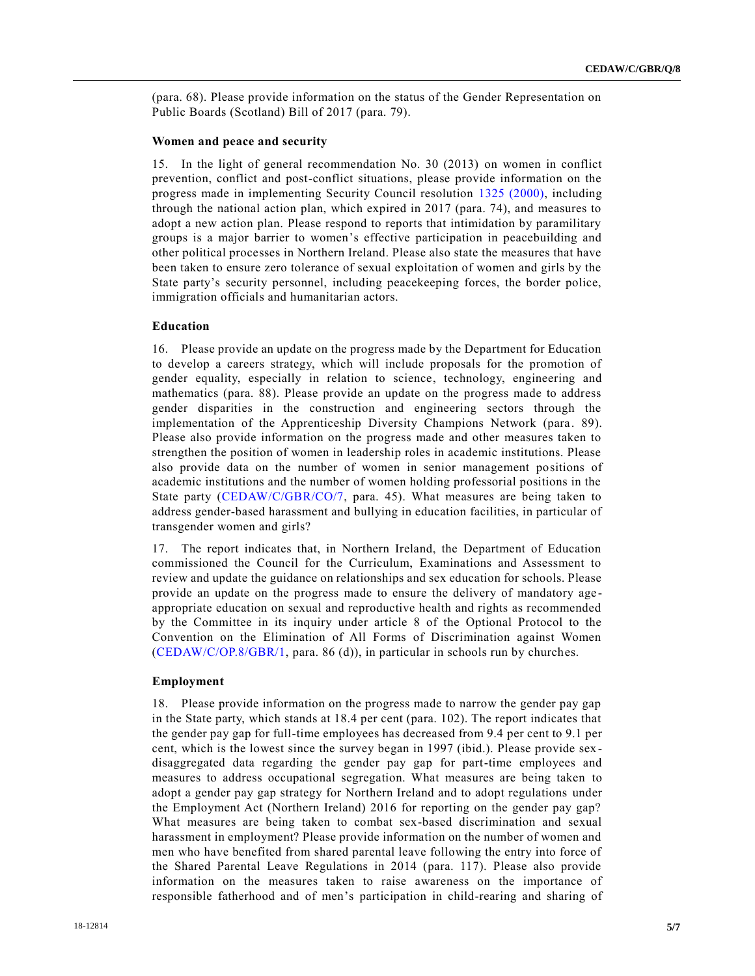(para. 68). Please provide information on the status of the Gender Representation on Public Boards (Scotland) Bill of 2017 (para. 79).

#### **Women and peace and security**

15. In the light of general recommendation No. 30 (2013) on women in conflict prevention, conflict and post-conflict situations, please provide information on the progress made in implementing Security Council resolution [1325 \(2000\),](https://undocs.org/S/RES/1325(2000)) including through the national action plan, which expired in 2017 (para. 74), and measures to adopt a new action plan. Please respond to reports that intimidation by paramilitary groups is a major barrier to women's effective participation in peacebuilding and other political processes in Northern Ireland. Please also state the measures that have been taken to ensure zero tolerance of sexual exploitation of women and girls by the State party's security personnel, including peacekeeping forces, the border police, immigration officials and humanitarian actors.

# **Education**

16. Please provide an update on the progress made by the Department for Education to develop a careers strategy, which will include proposals for the promotion of gender equality, especially in relation to science, technology, engineering and mathematics (para. 88). Please provide an update on the progress made to address gender disparities in the construction and engineering sectors through the implementation of the Apprenticeship Diversity Champions Network (para. 89). Please also provide information on the progress made and other measures taken to strengthen the position of women in leadership roles in academic institutions. Please also provide data on the number of women in senior management positions of academic institutions and the number of women holding professorial positions in the State party [\(CEDAW/C/GBR/CO/7,](https://undocs.org/CEDAW/C/GBR/CO/7) para. 45). What measures are being taken to address gender-based harassment and bullying in education facilities, in particular of transgender women and girls?

17. The report indicates that, in Northern Ireland, the Department of Education commissioned the Council for the Curriculum, Examinations and Assessment to review and update the guidance on relationships and sex education for schools. Please provide an update on the progress made to ensure the delivery of mandatory age appropriate education on sexual and reproductive health and rights as recommended by the Committee in its inquiry under article 8 of the Optional Protocol to the Convention on the Elimination of All Forms of Discrimination against Women  $(CEDAW/C/OP.8/GBR/1,$  para. 86 (d)), in particular in schools run by churches.

#### **Employment**

18. Please provide information on the progress made to narrow the gender pay gap in the State party, which stands at 18.4 per cent (para. 102). The report indicates that the gender pay gap for full-time employees has decreased from 9.4 per cent to 9.1 per cent, which is the lowest since the survey began in 1997 (ibid.). Please provide sex disaggregated data regarding the gender pay gap for part-time employees and measures to address occupational segregation. What measures are being taken to adopt a gender pay gap strategy for Northern Ireland and to adopt regulations under the Employment Act (Northern Ireland) 2016 for reporting on the gender pay gap? What measures are being taken to combat sex-based discrimination and sexual harassment in employment? Please provide information on the number of women and men who have benefited from shared parental leave following the entry into force of the Shared Parental Leave Regulations in 2014 (para. 117). Please also provide information on the measures taken to raise awareness on the importance of responsible fatherhood and of men's participation in child-rearing and sharing of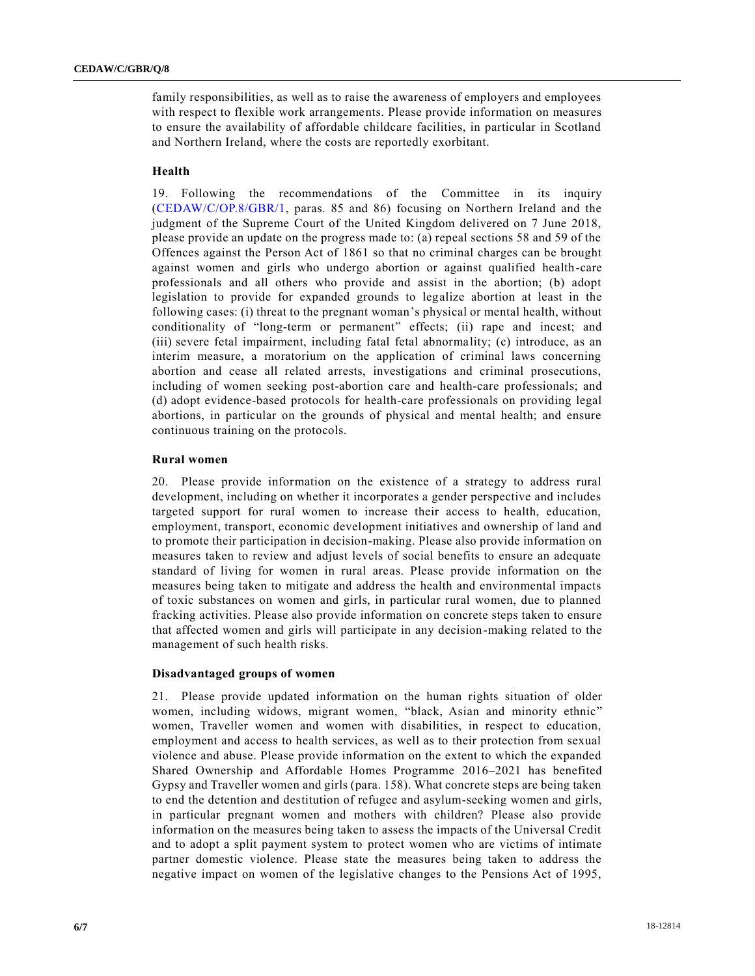family responsibilities, as well as to raise the awareness of employers and employees with respect to flexible work arrangements. Please provide information on measures to ensure the availability of affordable childcare facilities, in particular in Scotland and Northern Ireland, where the costs are reportedly exorbitant.

# **Health**

19. Following the recommendations of the Committee in its inquiry [\(CEDAW/C/OP.8/GBR/1,](https://undocs.org/CEDAW/C/OP.8/GBR/1) paras. 85 and 86) focusing on Northern Ireland and the judgment of the Supreme Court of the United Kingdom delivered on 7 June 2018, please provide an update on the progress made to: (a) repeal sections 58 and 59 of the Offences against the Person Act of 1861 so that no criminal charges can be brought against women and girls who undergo abortion or against qualified health-care professionals and all others who provide and assist in the abortion; (b) adopt legislation to provide for expanded grounds to legalize abortion at least in the following cases: (i) threat to the pregnant woman's physical or mental health, without conditionality of "long-term or permanent" effects; (ii) rape and incest; and (iii) severe fetal impairment, including fatal fetal abnormality; (c) introduce, as an interim measure, a moratorium on the application of criminal laws concerning abortion and cease all related arrests, investigations and criminal prosecutions, including of women seeking post-abortion care and health-care professionals; and (d) adopt evidence-based protocols for health-care professionals on providing legal abortions, in particular on the grounds of physical and mental health; and ensure continuous training on the protocols.

# **Rural women**

20. Please provide information on the existence of a strategy to address rural development, including on whether it incorporates a gender perspective and includes targeted support for rural women to increase their access to health, education, employment, transport, economic development initiatives and ownership of land and to promote their participation in decision-making. Please also provide information on measures taken to review and adjust levels of social benefits to ensure an adequate standard of living for women in rural areas. Please provide information on the measures being taken to mitigate and address the health and environmental impacts of toxic substances on women and girls, in particular rural women, due to planned fracking activities. Please also provide information on concrete steps taken to ensure that affected women and girls will participate in any decision-making related to the management of such health risks.

#### **Disadvantaged groups of women**

21. Please provide updated information on the human rights situation of older women, including widows, migrant women, "black, Asian and minority ethnic" women, Traveller women and women with disabilities, in respect to education, employment and access to health services, as well as to their protection from sexual violence and abuse. Please provide information on the extent to which the expanded Shared Ownership and Affordable Homes Programme 2016–2021 has benefited Gypsy and Traveller women and girls (para. 158). What concrete steps are being taken to end the detention and destitution of refugee and asylum-seeking women and girls, in particular pregnant women and mothers with children? Please also provide information on the measures being taken to assess the impacts of the Universal Credit and to adopt a split payment system to protect women who are victims of intimate partner domestic violence. Please state the measures being taken to address the negative impact on women of the legislative changes to the Pensions Act of 1995,